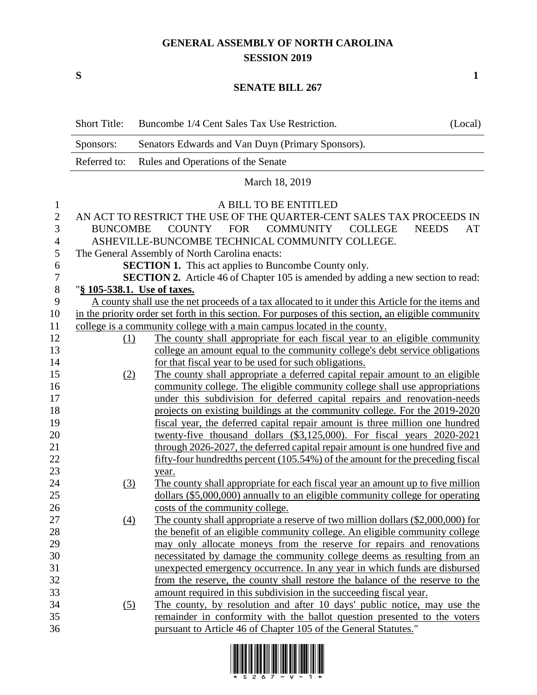## **GENERAL ASSEMBLY OF NORTH CAROLINA SESSION 2019**

**S 1**

## **SENATE BILL 267**

|                | <b>Short Title:</b>                                                              | Buncombe 1/4 Cent Sales Tax Use Restriction.                                                         | (Local) |  |
|----------------|----------------------------------------------------------------------------------|------------------------------------------------------------------------------------------------------|---------|--|
|                | Sponsors:                                                                        | Senators Edwards and Van Duyn (Primary Sponsors).                                                    |         |  |
|                | Referred to:                                                                     | Rules and Operations of the Senate                                                                   |         |  |
|                |                                                                                  | March 18, 2019                                                                                       |         |  |
| $\mathbf{1}$   | A BILL TO BE ENTITLED                                                            |                                                                                                      |         |  |
| $\mathbf{2}$   |                                                                                  | AN ACT TO RESTRICT THE USE OF THE QUARTER-CENT SALES TAX PROCEEDS IN                                 |         |  |
| 3              | COUNTY FOR COMMUNITY COLLEGE<br><b>BUNCOMBE</b><br><b>NEEDS</b><br>AT            |                                                                                                      |         |  |
| $\overline{4}$ | ASHEVILLE-BUNCOMBE TECHNICAL COMMUNITY COLLEGE.                                  |                                                                                                      |         |  |
| 5              | The General Assembly of North Carolina enacts:                                   |                                                                                                      |         |  |
| 6              | <b>SECTION 1.</b> This act applies to Buncombe County only.                      |                                                                                                      |         |  |
| $\tau$         | SECTION 2. Article 46 of Chapter 105 is amended by adding a new section to read: |                                                                                                      |         |  |
| $8\,$          | "§ 105-538.1. Use of taxes.                                                      |                                                                                                      |         |  |
| 9              |                                                                                  | A county shall use the net proceeds of a tax allocated to it under this Article for the items and    |         |  |
| 10             |                                                                                  | in the priority order set forth in this section. For purposes of this section, an eligible community |         |  |
| 11             | college is a community college with a main campus located in the county.         |                                                                                                      |         |  |
| 12             | (1)                                                                              | The county shall appropriate for each fiscal year to an eligible community                           |         |  |
| 13             |                                                                                  | college an amount equal to the community college's debt service obligations                          |         |  |
| 14             |                                                                                  | for that fiscal year to be used for such obligations.                                                |         |  |
| 15             | (2)                                                                              | The county shall appropriate a deferred capital repair amount to an eligible                         |         |  |
| 16             |                                                                                  | community college. The eligible community college shall use appropriations                           |         |  |
| 17             |                                                                                  | under this subdivision for deferred capital repairs and renovation-needs                             |         |  |
| 18             |                                                                                  | projects on existing buildings at the community college. For the 2019-2020                           |         |  |
| 19             |                                                                                  | fiscal year, the deferred capital repair amount is three million one hundred                         |         |  |
| 20             |                                                                                  | twenty-five thousand dollars (\$3,125,000). For fiscal years 2020-2021                               |         |  |
| 21             |                                                                                  | through 2026-2027, the deferred capital repair amount is one hundred five and                        |         |  |
| 22             |                                                                                  | fifty-four hundredths percent (105.54%) of the amount for the preceding fiscal                       |         |  |
| 23             |                                                                                  | year.                                                                                                |         |  |
| 24             | (3)                                                                              | The county shall appropriate for each fiscal year an amount up to five million                       |         |  |
| 25             |                                                                                  | dollars (\$5,000,000) annually to an eligible community college for operating                        |         |  |
| 26             |                                                                                  | costs of the community college.                                                                      |         |  |
| 27             | $\left(4\right)$                                                                 | The county shall appropriate a reserve of two million dollars (\$2,000,000) for                      |         |  |
| 28             |                                                                                  | the benefit of an eligible community college. An eligible community college                          |         |  |
| 29             |                                                                                  | may only allocate moneys from the reserve for repairs and renovations                                |         |  |
| 30             |                                                                                  | necessitated by damage the community college deems as resulting from an                              |         |  |
| 31             |                                                                                  | unexpected emergency occurrence. In any year in which funds are disbursed                            |         |  |
| 32             |                                                                                  | from the reserve, the county shall restore the balance of the reserve to the                         |         |  |
| 33             |                                                                                  | amount required in this subdivision in the succeeding fiscal year.                                   |         |  |
| 34             | $\left( 5\right)$                                                                | The county, by resolution and after 10 days' public notice, may use the                              |         |  |
| 35             |                                                                                  | remainder in conformity with the ballot question presented to the voters                             |         |  |
| 36             |                                                                                  | pursuant to Article 46 of Chapter 105 of the General Statutes."                                      |         |  |